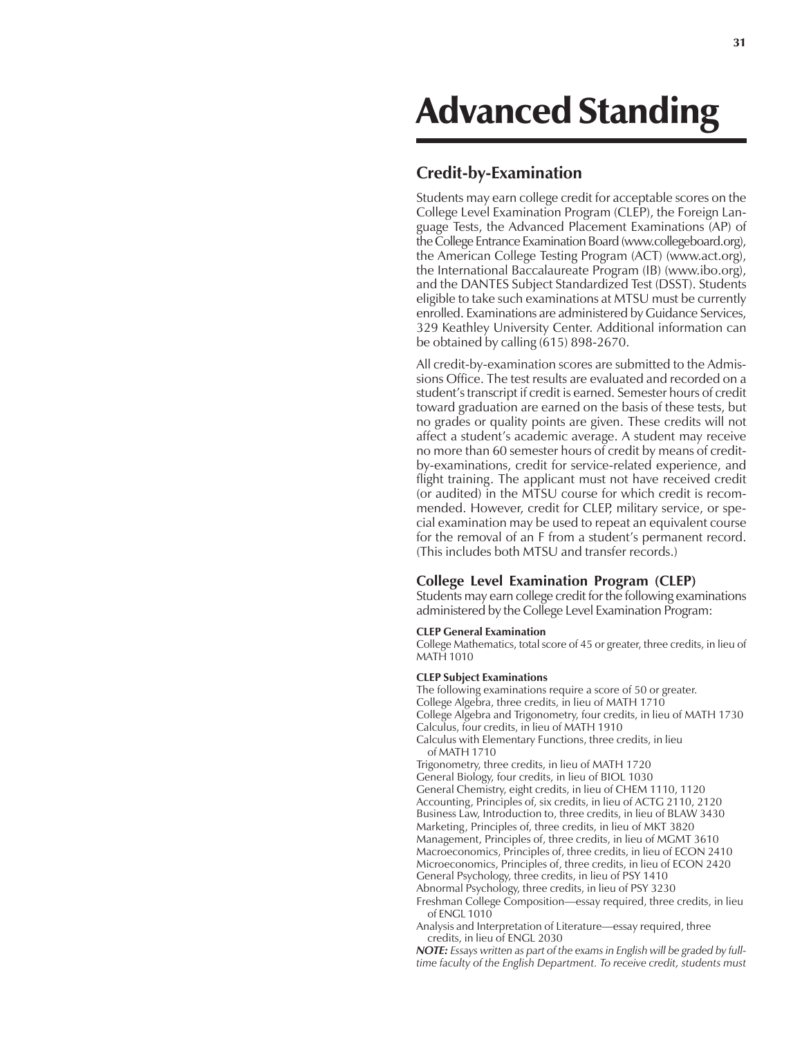# Advanced Standing

## **Credit-by-Examination**

Students may earn college credit for acceptable scores on the College Level Examination Program (CLEP), the Foreign Language Tests, the Advanced Placement Examinations (AP) of the College Entrance Examination Board (www.collegeboard.org), the American College Testing Program (ACT) (www.act.org), the International Baccalaureate Program (IB) (www.ibo.org), and the DANTES Subject Standardized Test (DSST). Students eligible to take such examinations at MTSU must be currently enrolled. Examinations are administered by Guidance Services, 329 Keathley University Center. Additional information can be obtained by calling (615) 898-2670.

All credit-by-examination scores are submitted to the Admissions Office. The test results are evaluated and recorded on a student's transcript if credit is earned. Semester hours of credit toward graduation are earned on the basis of these tests, but no grades or quality points are given. These credits will not affect a student's academic average. A student may receive no more than 60 semester hours of credit by means of creditby-examinations, credit for service-related experience, and flight training. The applicant must not have received credit (or audited) in the MTSU course for which credit is recommended. However, credit for CLEP, military service, or special examination may be used to repeat an equivalent course for the removal of an F from a student's permanent record. (This includes both MTSU and transfer records.)

## **College Level Examination Program (CLEP)**

Students may earn college credit for the following examinations administered by the College Level Examination Program:

#### **CLEP General Examination**

College Mathematics, total score of 45 or greater, three credits, in lieu of MATH 1010

#### **CLEP Subject Examinations**

The following examinations require a score of 50 or greater. College Algebra, three credits, in lieu of MATH 1710 College Algebra and Trigonometry, four credits, in lieu of MATH 1730 Calculus, four credits, in lieu of MATH 1910 Calculus with Elementary Functions, three credits, in lieu of MATH 1710 Trigonometry, three credits, in lieu of MATH 1720 General Biology, four credits, in lieu of BIOL 1030 General Chemistry, eight credits, in lieu of CHEM 1110, 1120 Accounting, Principles of, six credits, in lieu of ACTG 2110, 2120 Business Law, Introduction to, three credits, in lieu of BLAW 3430 Marketing, Principles of, three credits, in lieu of MKT 3820 Management, Principles of, three credits, in lieu of MGMT 3610

Macroeconomics, Principles of, three credits, in lieu of ECON 2410 Microeconomics, Principles of, three credits, in lieu of ECON 2420 General Psychology, three credits, in lieu of PSY 1410

Abnormal Psychology, three credits, in lieu of PSY 3230

Freshman College Composition—essay required, three credits, in lieu of ENGL 1010

Analysis and Interpretation of Literature—essay required, three credits, in lieu of ENGL 2030

*NOTE: Essays written as part of the exams in English will be graded by fulltime faculty of the English Department. To receive credit, students must*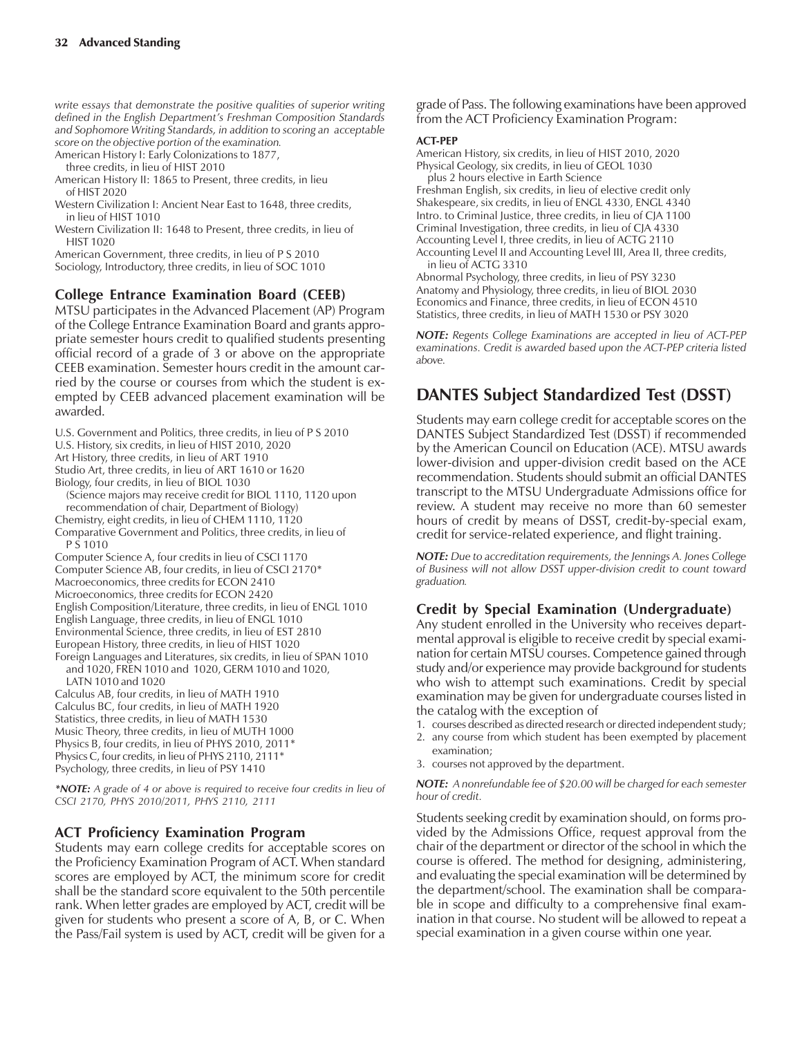*write essays that demonstrate the positive qualities of superior writing defined in the English Departmentís Freshman Composition Standards and Sophomore Writing Standards, in addition to scoring an acceptable score on the objective portion of the examination.*

American History I: Early Colonizations to 1877,

three credits, in lieu of HIST 2010

American History II: 1865 to Present, three credits, in lieu of HIST 2020

Western Civilization I: Ancient Near East to 1648, three credits, in lieu of HIST 1010

Western Civilization II: 1648 to Present, three credits, in lieu of HIST 1020

American Government, three credits, in lieu of P S 2010 Sociology, Introductory, three credits, in lieu of SOC 1010

#### **College Entrance Examination Board (CEEB)**

MTSU participates in the Advanced Placement (AP) Program of the College Entrance Examination Board and grants appropriate semester hours credit to qualified students presenting official record of a grade of 3 or above on the appropriate CEEB examination. Semester hours credit in the amount carried by the course or courses from which the student is exempted by CEEB advanced placement examination will be awarded.

U.S. Government and Politics, three credits, in lieu of P S 2010

U.S. History, six credits, in lieu of HIST 2010, 2020

Art History, three credits, in lieu of ART 1910

Studio Art, three credits, in lieu of ART 1610 or 1620

Biology, four credits, in lieu of BIOL 1030

(Science majors may receive credit for BIOL 1110, 1120 upon recommendation of chair, Department of Biology)

Chemistry, eight credits, in lieu of CHEM 1110, 1120

Comparative Government and Politics, three credits, in lieu of P S 1010

Computer Science A, four credits in lieu of CSCI 1170 Computer Science AB, four credits, in lieu of CSCI 2170\* Macroeconomics, three credits for ECON 2410 Microeconomics, three credits for ECON 2420 English Composition/Literature, three credits, in lieu of ENGL 1010 English Language, three credits, in lieu of ENGL 1010 Environmental Science, three credits, in lieu of EST 2810 European History, three credits, in lieu of HIST 1020

Foreign Languages and Literatures, six credits, in lieu of SPAN 1010 and 1020, FREN 1010 and 1020, GERM 1010 and 1020, LATN 1010 and 1020

Calculus AB, four credits, in lieu of MATH 1910 Calculus BC, four credits, in lieu of MATH 1920 Statistics, three credits, in lieu of MATH 1530 Music Theory, three credits, in lieu of MUTH 1000 Physics B, four credits, in lieu of PHYS 2010, 2011\* Physics C, four credits, in lieu of PHYS 2110, 2111\* Psychology, three credits, in lieu of PSY 1410

*\*NOTE: A grade of 4 or above is required to receive four credits in lieu of CSCI 2170, PHYS 2010/2011, PHYS 2110, 2111*

## **ACT Proficiency Examination Program**

Students may earn college credits for acceptable scores on the Proficiency Examination Program of ACT. When standard scores are employed by ACT, the minimum score for credit shall be the standard score equivalent to the 50th percentile rank. When letter grades are employed by ACT, credit will be given for students who present a score of A, B, or C. When the Pass/Fail system is used by ACT, credit will be given for a

grade of Pass. The following examinations have been approved from the ACT Proficiency Examination Program:

#### **ACT-PEP**

American History, six credits, in lieu of HIST 2010, 2020 Physical Geology, six credits, in lieu of GEOL 1030 plus 2 hours elective in Earth Science

Freshman English, six credits, in lieu of elective credit only Shakespeare, six credits, in lieu of ENGL 4330, ENGL 4340 Intro. to Criminal Justice, three credits, in lieu of CJA 1100 Criminal Investigation, three credits, in lieu of CJA 4330 Accounting Level I, three credits, in lieu of ACTG 2110 Accounting Level II and Accounting Level III, Area II, three credits,

in lieu of ACTG 3310 Abnormal Psychology, three credits, in lieu of PSY 3230 Anatomy and Physiology, three credits, in lieu of BIOL 2030 Economics and Finance, three credits, in lieu of ECON 4510 Statistics, three credits, in lieu of MATH 1530 or PSY 3020

*NOTE: Regents College Examinations are accepted in lieu of ACT-PEP examinations. Credit is awarded based upon the ACT-PEP criteria listed above.*

# **DANTES Subject Standardized Test (DSST)**

Students may earn college credit for acceptable scores on the DANTES Subject Standardized Test (DSST) if recommended by the American Council on Education (ACE). MTSU awards lower-division and upper-division credit based on the ACE recommendation. Students should submit an official DANTES transcript to the MTSU Undergraduate Admissions office for review. A student may receive no more than 60 semester hours of credit by means of DSST, credit-by-special exam, credit for service-related experience, and flight training.

*NOTE: Due to accreditation requirements, the Jennings A. Jones College of Business will not allow DSST upper-division credit to count toward graduation.*

## **Credit by Special Examination (Undergraduate)**

Any student enrolled in the University who receives departmental approval is eligible to receive credit by special examination for certain MTSU courses. Competence gained through study and/or experience may provide background for students who wish to attempt such examinations. Credit by special examination may be given for undergraduate courses listed in the catalog with the exception of

- 1. courses described as directed research or directed independent study;
- 2. any course from which student has been exempted by placement examination;
- 3. courses not approved by the department.

*NOTE: A nonrefundable fee of \$20.00 will be charged for each semester hour of credit.*

Students seeking credit by examination should, on forms provided by the Admissions Office, request approval from the chair of the department or director of the school in which the course is offered. The method for designing, administering, and evaluating the special examination will be determined by the department/school. The examination shall be comparable in scope and difficulty to a comprehensive final examination in that course. No student will be allowed to repeat a special examination in a given course within one year.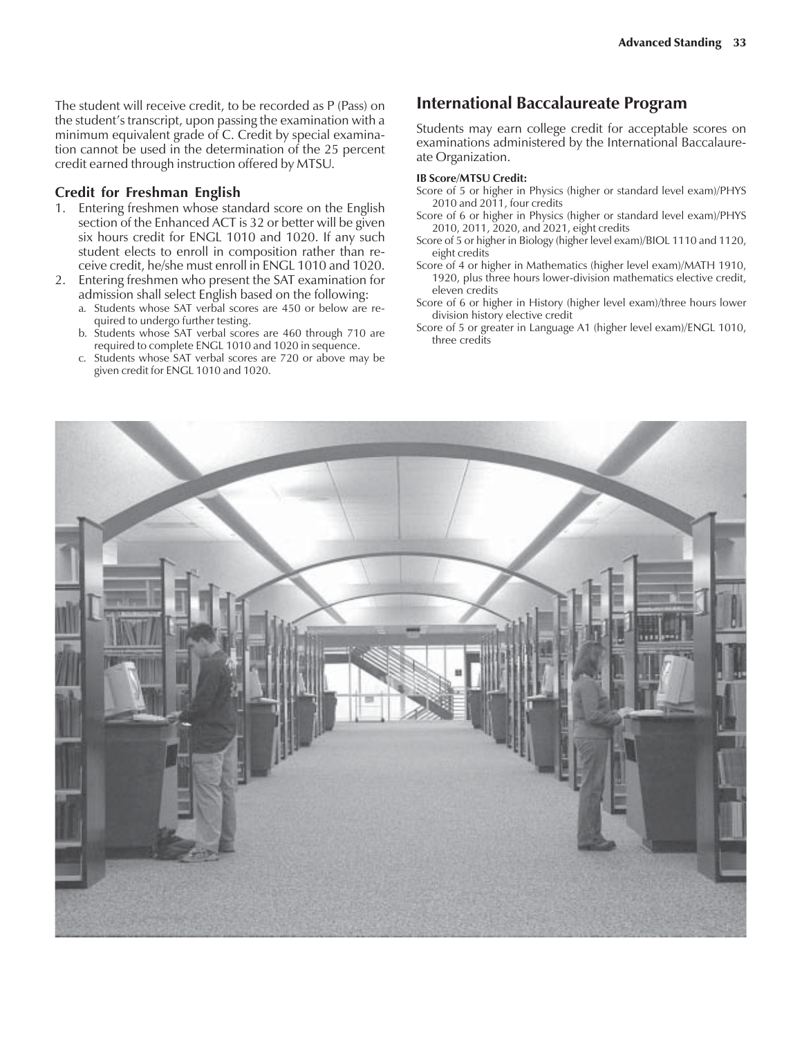The student will receive credit, to be recorded as P (Pass) on the student's transcript, upon passing the examination with a minimum equivalent grade of C. Credit by special examination cannot be used in the determination of the 25 percent credit earned through instruction offered by MTSU.

#### **Credit for Freshman English**

- 1. Entering freshmen whose standard score on the English section of the Enhanced ACT is 32 or better will be given six hours credit for ENGL 1010 and 1020. If any such student elects to enroll in composition rather than receive credit, he/she must enroll in ENGL 1010 and 1020.
- 2. Entering freshmen who present the SAT examination for admission shall select English based on the following:
	- a. Students whose SAT verbal scores are 450 or below are required to undergo further testing.
	- b. Students whose SAT verbal scores are 460 through 710 are required to complete ENGL 1010 and 1020 in sequence.
	- c. Students whose SAT verbal scores are 720 or above may be given credit for ENGL 1010 and 1020.

## **International Baccalaureate Program**

Students may earn college credit for acceptable scores on examinations administered by the International Baccalaureate Organization.

#### **IB Score/MTSU Credit:**

- Score of 5 or higher in Physics (higher or standard level exam)/PHYS 2010 and 2011, four credits
- Score of 6 or higher in Physics (higher or standard level exam)/PHYS 2010, 2011, 2020, and 2021, eight credits
- Score of 5 or higher in Biology (higher level exam)/BIOL 1110 and 1120, eight credits
- Score of 4 or higher in Mathematics (higher level exam)/MATH 1910, 1920, plus three hours lower-division mathematics elective credit, eleven credits
- Score of 6 or higher in History (higher level exam)/three hours lower division history elective credit
- Score of 5 or greater in Language A1 (higher level exam)/ENGL 1010, three credits